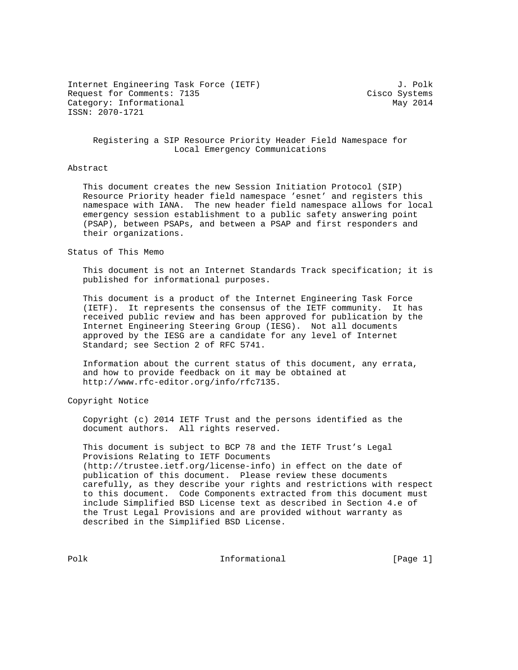Internet Engineering Task Force (IETF)  $J.$  Polk Request for Comments: 7135 Cisco Systems Category: Informational May 2014 ISSN: 2070-1721

# Registering a SIP Resource Priority Header Field Namespace for Local Emergency Communications

## Abstract

 This document creates the new Session Initiation Protocol (SIP) Resource Priority header field namespace 'esnet' and registers this namespace with IANA. The new header field namespace allows for local emergency session establishment to a public safety answering point (PSAP), between PSAPs, and between a PSAP and first responders and their organizations.

#### Status of This Memo

 This document is not an Internet Standards Track specification; it is published for informational purposes.

 This document is a product of the Internet Engineering Task Force (IETF). It represents the consensus of the IETF community. It has received public review and has been approved for publication by the Internet Engineering Steering Group (IESG). Not all documents approved by the IESG are a candidate for any level of Internet Standard; see Section 2 of RFC 5741.

 Information about the current status of this document, any errata, and how to provide feedback on it may be obtained at http://www.rfc-editor.org/info/rfc7135.

Copyright Notice

 Copyright (c) 2014 IETF Trust and the persons identified as the document authors. All rights reserved.

 This document is subject to BCP 78 and the IETF Trust's Legal Provisions Relating to IETF Documents (http://trustee.ietf.org/license-info) in effect on the date of publication of this document. Please review these documents carefully, as they describe your rights and restrictions with respect to this document. Code Components extracted from this document must include Simplified BSD License text as described in Section 4.e of the Trust Legal Provisions and are provided without warranty as described in the Simplified BSD License.

Polk **Informational** [Page 1]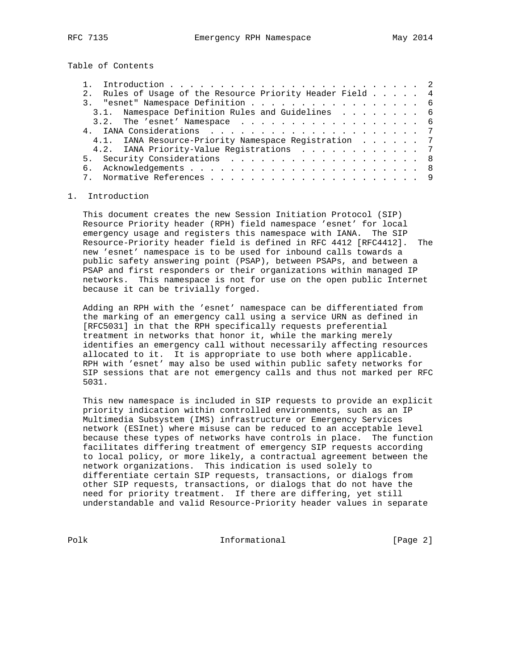Table of Contents

| 2. Rules of Usage of the Resource Priority Header Field 4 |  |
|-----------------------------------------------------------|--|
| 3. "esnet" Namespace Definition 6                         |  |
| 3.1. Namespace Definition Rules and Guidelines 6          |  |
| 3.2. The 'esnet' Namespace 6                              |  |
|                                                           |  |
| 4.1. IANA Resource-Priority Namespace Registration 7      |  |
| 4.2. IANA Priority-Value Registrations 7                  |  |
| 5. Security Considerations 8                              |  |
|                                                           |  |
|                                                           |  |

## 1. Introduction

 This document creates the new Session Initiation Protocol (SIP) Resource Priority header (RPH) field namespace 'esnet' for local emergency usage and registers this namespace with IANA. The SIP Resource-Priority header field is defined in RFC 4412 [RFC4412]. The new 'esnet' namespace is to be used for inbound calls towards a public safety answering point (PSAP), between PSAPs, and between a PSAP and first responders or their organizations within managed IP networks. This namespace is not for use on the open public Internet because it can be trivially forged.

 Adding an RPH with the 'esnet' namespace can be differentiated from the marking of an emergency call using a service URN as defined in [RFC5031] in that the RPH specifically requests preferential treatment in networks that honor it, while the marking merely identifies an emergency call without necessarily affecting resources allocated to it. It is appropriate to use both where applicable. RPH with 'esnet' may also be used within public safety networks for SIP sessions that are not emergency calls and thus not marked per RFC 5031.

 This new namespace is included in SIP requests to provide an explicit priority indication within controlled environments, such as an IP Multimedia Subsystem (IMS) infrastructure or Emergency Services network (ESInet) where misuse can be reduced to an acceptable level because these types of networks have controls in place. The function facilitates differing treatment of emergency SIP requests according to local policy, or more likely, a contractual agreement between the network organizations. This indication is used solely to differentiate certain SIP requests, transactions, or dialogs from other SIP requests, transactions, or dialogs that do not have the need for priority treatment. If there are differing, yet still understandable and valid Resource-Priority header values in separate

Polk **Informational Informational** [Page 2]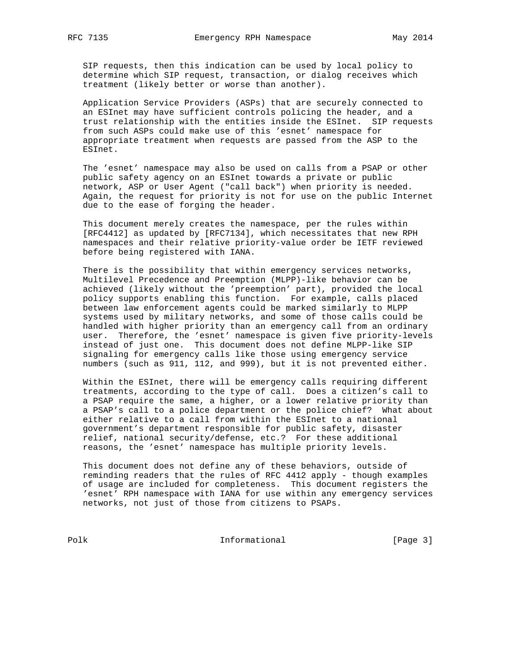SIP requests, then this indication can be used by local policy to determine which SIP request, transaction, or dialog receives which treatment (likely better or worse than another).

 Application Service Providers (ASPs) that are securely connected to an ESInet may have sufficient controls policing the header, and a trust relationship with the entities inside the ESInet. SIP requests from such ASPs could make use of this 'esnet' namespace for appropriate treatment when requests are passed from the ASP to the ESInet.

 The 'esnet' namespace may also be used on calls from a PSAP or other public safety agency on an ESInet towards a private or public network, ASP or User Agent ("call back") when priority is needed. Again, the request for priority is not for use on the public Internet due to the ease of forging the header.

 This document merely creates the namespace, per the rules within [RFC4412] as updated by [RFC7134], which necessitates that new RPH namespaces and their relative priority-value order be IETF reviewed before being registered with IANA.

 There is the possibility that within emergency services networks, Multilevel Precedence and Preemption (MLPP)-like behavior can be achieved (likely without the 'preemption' part), provided the local policy supports enabling this function. For example, calls placed between law enforcement agents could be marked similarly to MLPP systems used by military networks, and some of those calls could be handled with higher priority than an emergency call from an ordinary user. Therefore, the 'esnet' namespace is given five priority-levels instead of just one. This document does not define MLPP-like SIP signaling for emergency calls like those using emergency service numbers (such as 911, 112, and 999), but it is not prevented either.

 Within the ESInet, there will be emergency calls requiring different treatments, according to the type of call. Does a citizen's call to a PSAP require the same, a higher, or a lower relative priority than a PSAP's call to a police department or the police chief? What about either relative to a call from within the ESInet to a national government's department responsible for public safety, disaster relief, national security/defense, etc.? For these additional reasons, the 'esnet' namespace has multiple priority levels.

 This document does not define any of these behaviors, outside of reminding readers that the rules of RFC 4412 apply - though examples of usage are included for completeness. This document registers the 'esnet' RPH namespace with IANA for use within any emergency services networks, not just of those from citizens to PSAPs.

Polk **Informational** [Page 3]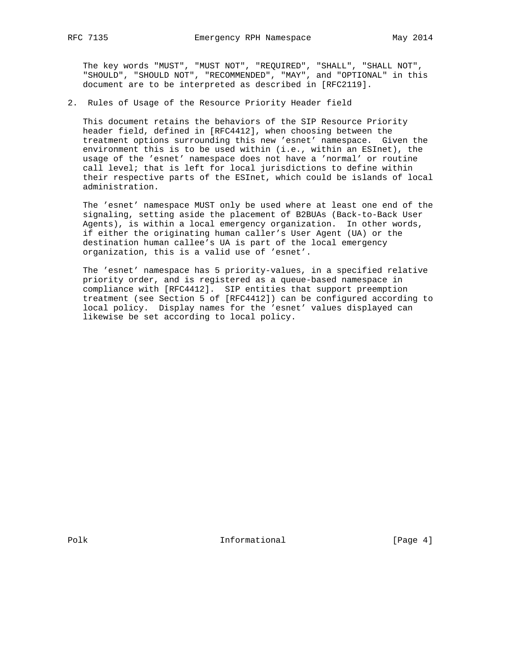The key words "MUST", "MUST NOT", "REQUIRED", "SHALL", "SHALL NOT", "SHOULD", "SHOULD NOT", "RECOMMENDED", "MAY", and "OPTIONAL" in this document are to be interpreted as described in [RFC2119].

2. Rules of Usage of the Resource Priority Header field

 This document retains the behaviors of the SIP Resource Priority header field, defined in [RFC4412], when choosing between the treatment options surrounding this new 'esnet' namespace. Given the environment this is to be used within (i.e., within an ESInet), the usage of the 'esnet' namespace does not have a 'normal' or routine call level; that is left for local jurisdictions to define within their respective parts of the ESInet, which could be islands of local administration.

 The 'esnet' namespace MUST only be used where at least one end of the signaling, setting aside the placement of B2BUAs (Back-to-Back User Agents), is within a local emergency organization. In other words, if either the originating human caller's User Agent (UA) or the destination human callee's UA is part of the local emergency organization, this is a valid use of 'esnet'.

 The 'esnet' namespace has 5 priority-values, in a specified relative priority order, and is registered as a queue-based namespace in compliance with [RFC4412]. SIP entities that support preemption treatment (see Section 5 of [RFC4412]) can be configured according to local policy. Display names for the 'esnet' values displayed can likewise be set according to local policy.

Polk **Informational** [Page 4]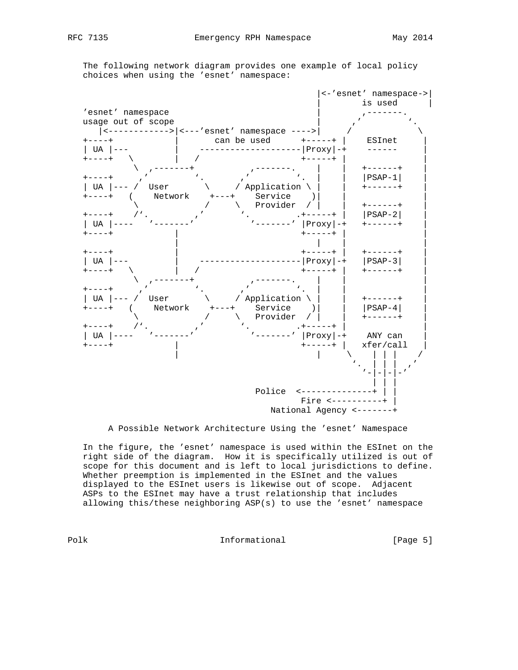The following network diagram provides one example of local policy choices when using the 'esnet' namespace:



A Possible Network Architecture Using the 'esnet' Namespace

 In the figure, the 'esnet' namespace is used within the ESInet on the right side of the diagram. How it is specifically utilized is out of scope for this document and is left to local jurisdictions to define. Whether preemption is implemented in the ESInet and the values displayed to the ESInet users is likewise out of scope. Adjacent ASPs to the ESInet may have a trust relationship that includes allowing this/these neighboring ASP(s) to use the 'esnet' namespace

Polk **Informational** [Page 5]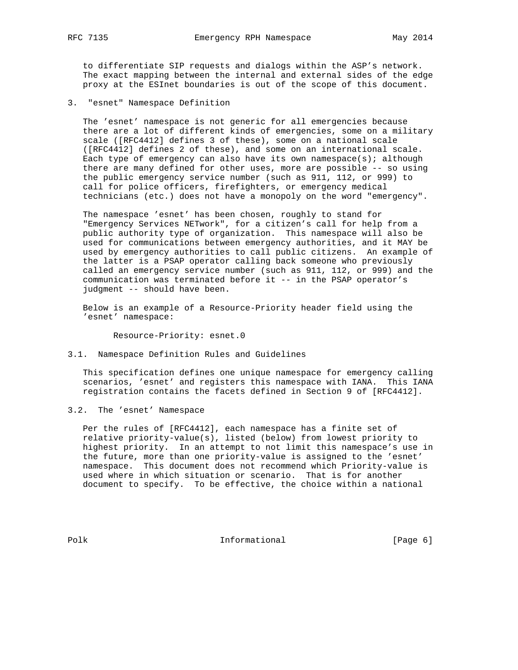to differentiate SIP requests and dialogs within the ASP's network. The exact mapping between the internal and external sides of the edge proxy at the ESInet boundaries is out of the scope of this document.

3. "esnet" Namespace Definition

 The 'esnet' namespace is not generic for all emergencies because there are a lot of different kinds of emergencies, some on a military scale ([RFC4412] defines 3 of these), some on a national scale ([RFC4412] defines 2 of these), and some on an international scale. Each type of emergency can also have its own namespace(s); although there are many defined for other uses, more are possible -- so using the public emergency service number (such as 911, 112, or 999) to call for police officers, firefighters, or emergency medical technicians (etc.) does not have a monopoly on the word "emergency".

 The namespace 'esnet' has been chosen, roughly to stand for "Emergency Services NETwork", for a citizen's call for help from a public authority type of organization. This namespace will also be used for communications between emergency authorities, and it MAY be used by emergency authorities to call public citizens. An example of the latter is a PSAP operator calling back someone who previously called an emergency service number (such as 911, 112, or 999) and the communication was terminated before it -- in the PSAP operator's judgment -- should have been.

 Below is an example of a Resource-Priority header field using the 'esnet' namespace:

Resource-Priority: esnet.0

3.1. Namespace Definition Rules and Guidelines

 This specification defines one unique namespace for emergency calling scenarios, 'esnet' and registers this namespace with IANA. This IANA registration contains the facets defined in Section 9 of [RFC4412].

3.2. The 'esnet' Namespace

 Per the rules of [RFC4412], each namespace has a finite set of relative priority-value(s), listed (below) from lowest priority to highest priority. In an attempt to not limit this namespace's use in the future, more than one priority-value is assigned to the 'esnet' namespace. This document does not recommend which Priority-value is used where in which situation or scenario. That is for another document to specify. To be effective, the choice within a national

Polk **Informational** [Page 6]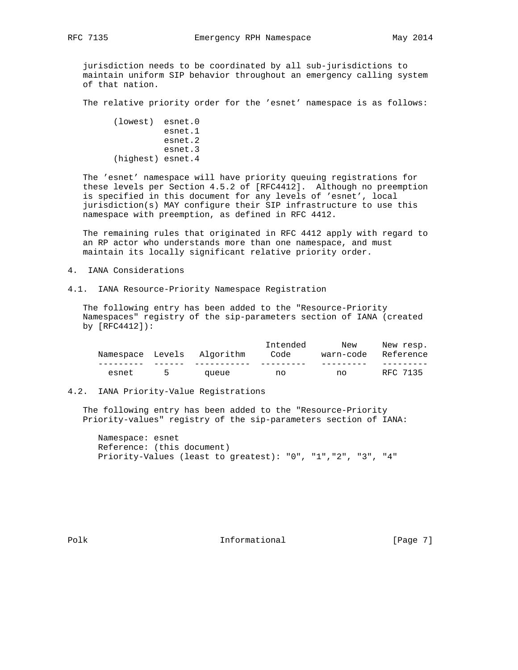jurisdiction needs to be coordinated by all sub-jurisdictions to maintain uniform SIP behavior throughout an emergency calling system of that nation.

The relative priority order for the 'esnet' namespace is as follows:

```
 (lowest) esnet.0
          esnet.1
          esnet.2
          esnet.3
(highest) esnet.4
```
 The 'esnet' namespace will have priority queuing registrations for these levels per Section 4.5.2 of [RFC4412]. Although no preemption is specified in this document for any levels of 'esnet', local jurisdiction(s) MAY configure their SIP infrastructure to use this namespace with preemption, as defined in RFC 4412.

 The remaining rules that originated in RFC 4412 apply with regard to an RP actor who understands more than one namespace, and must maintain its locally significant relative priority order.

- 4. IANA Considerations
- 4.1. IANA Resource-Priority Namespace Registration

 The following entry has been added to the "Resource-Priority Namespaces" registry of the sip-parameters section of IANA (created by [RFC4412]):

| Namespace Levels | Algorithm | Intended<br>Code | New<br>warn-code | New resp.<br>Reference |
|------------------|-----------|------------------|------------------|------------------------|
|                  |           |                  |                  |                        |
| esnet            | queue     | no               | no               | RFC 7135               |

# 4.2. IANA Priority-Value Registrations

 The following entry has been added to the "Resource-Priority Priority-values" registry of the sip-parameters section of IANA:

 Namespace: esnet Reference: (this document) Priority-Values (least to greatest): "0", "1","2", "3", "4"

Polk **Informational** [Page 7]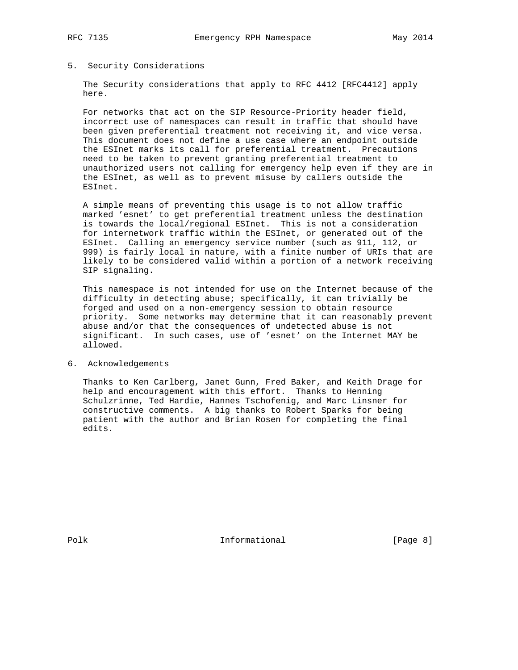# 5. Security Considerations

 The Security considerations that apply to RFC 4412 [RFC4412] apply here.

 For networks that act on the SIP Resource-Priority header field, incorrect use of namespaces can result in traffic that should have been given preferential treatment not receiving it, and vice versa. This document does not define a use case where an endpoint outside the ESInet marks its call for preferential treatment. Precautions need to be taken to prevent granting preferential treatment to unauthorized users not calling for emergency help even if they are in the ESInet, as well as to prevent misuse by callers outside the ESInet.

 A simple means of preventing this usage is to not allow traffic marked 'esnet' to get preferential treatment unless the destination is towards the local/regional ESInet. This is not a consideration for internetwork traffic within the ESInet, or generated out of the ESInet. Calling an emergency service number (such as 911, 112, or 999) is fairly local in nature, with a finite number of URIs that are likely to be considered valid within a portion of a network receiving SIP signaling.

 This namespace is not intended for use on the Internet because of the difficulty in detecting abuse; specifically, it can trivially be forged and used on a non-emergency session to obtain resource priority. Some networks may determine that it can reasonably prevent abuse and/or that the consequences of undetected abuse is not significant. In such cases, use of 'esnet' on the Internet MAY be allowed.

## 6. Acknowledgements

 Thanks to Ken Carlberg, Janet Gunn, Fred Baker, and Keith Drage for help and encouragement with this effort. Thanks to Henning Schulzrinne, Ted Hardie, Hannes Tschofenig, and Marc Linsner for constructive comments. A big thanks to Robert Sparks for being patient with the author and Brian Rosen for completing the final edits.

Polk **Informational** [Page 8]